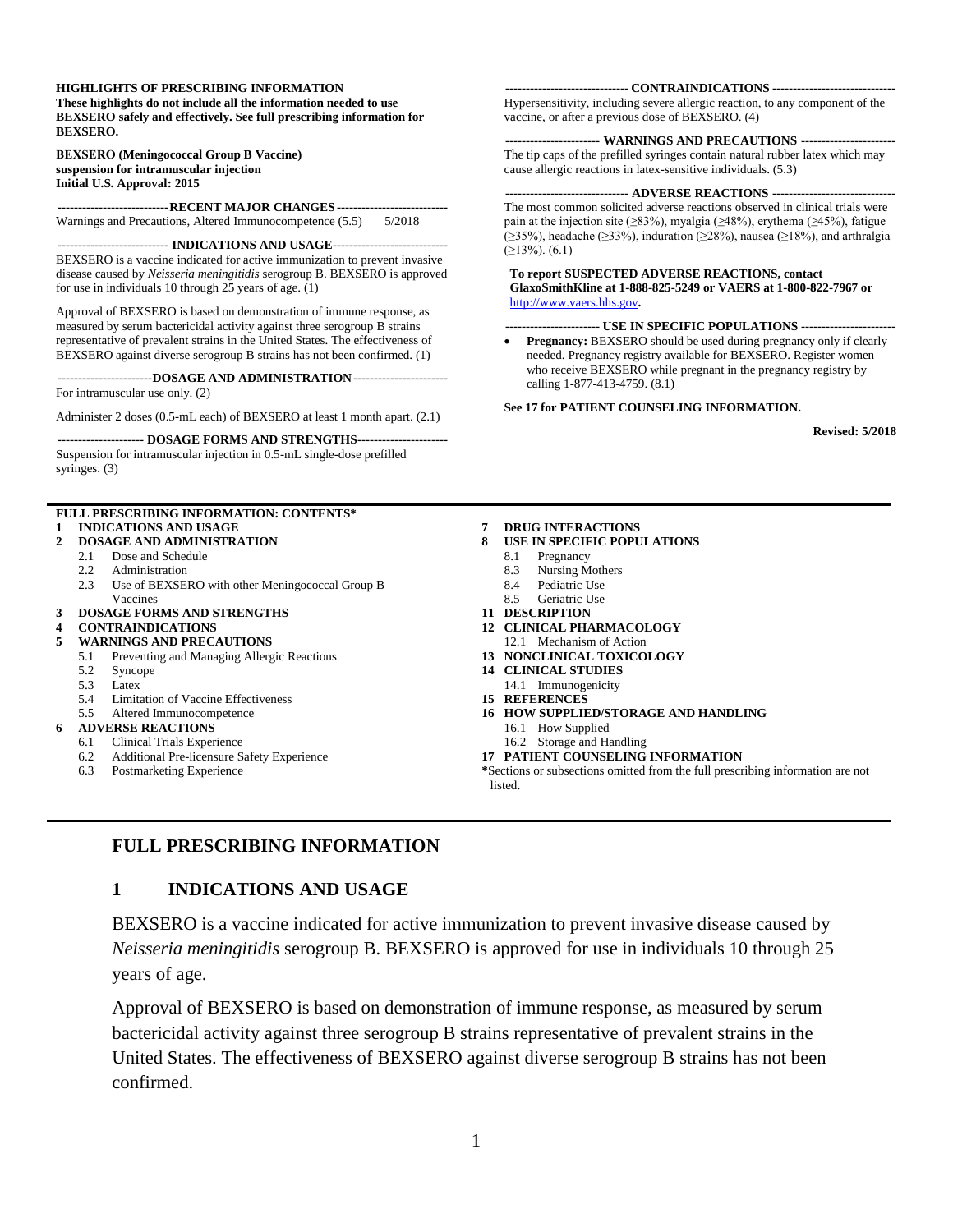#### **HIGHLIGHTS OF PRESCRIBING INFORMATION**

**These highlights do not include all the information needed to use BEXSERO safely and effectively. See full prescribing information for BEXSERO.**

#### **BEXSERO (Meningococcal Group B Vaccine) suspension for intramuscular injection Initial U.S. Approval: 2015**

**---------------------------RECENT MAJOR CHANGES ---------------------------** Warnings and Precautions, Altered Immunocompetence (5.5) 5/2018

**--------------------------- INDICATIONS AND USAGE----------------------------** BEXSERO is a vaccine indicated for active immunization to prevent invasive disease caused by *Neisseria meningitidis* serogroup B. BEXSERO is approved for use in individuals 10 through 25 years of age. (1)

Approval of BEXSERO is based on demonstration of immune response, as measured by serum bactericidal activity against three serogroup B strains representative of prevalent strains in the United States. The effectiveness of BEXSERO against diverse serogroup B strains has not been confirmed. (1)

**-----------------------DOSAGE AND ADMINISTRATION-----------------------** For intramuscular use only. (2)

Administer 2 doses (0.5-mL each) of BEXSERO at least 1 month apart. (2.1)

#### **--------------------- DOSAGE FORMS AND STRENGTHS----------------------**

Suspension for intramuscular injection in 0.5-mL single-dose prefilled syringes. (3)

#### **FULL PRESCRIBING INFORMATION: CONTENTS\* 1 [INDICATIONS AND USAGE](#page-0-0)**

- **2 [DOSAGE AND ADMINISTRATION](#page-1-0)**
	- 2.1 [Dose and Schedule](#page-1-1)
	- 2.2 [Administration](#page-1-2)
	- 2.3 [Use of BEXSERO with other Meningococcal Group B](#page-1-3)  [Vaccines](#page-1-3)
- **3 [DOSAGE FORMS AND STRENGTHS](#page-1-4)**

#### **4 [CONTRAINDICATIONS](#page-1-5)**

- **5 [WARNINGS AND PRECAUTIONS](#page-1-6)**
	- 5.1 [Preventing and Managing Allergic Reactions](#page-1-7)
	- 5.2 [Syncope](#page-1-8)
	- 5.3 [Latex](#page-1-9)
	- 5.4 [Limitation of Vaccine Effectiveness](#page-2-0)
	- 5.5 [Altered Immunocompetence](#page-2-1)

#### **6 [ADVERSE REACTIONS](#page-2-2)**

- 6.1 [Clinical Trials Experience](#page-2-3)
- 6.2 [Additional Pre-licensure Safety Experience](#page-6-0)
- 6.3 [Postmarketing Experience](#page-6-1)

#### **------------------------------ CONTRAINDICATIONS ------------------------------**

Hypersensitivity, including severe allergic reaction, to any component of the vaccine, or after a previous dose of BEXSERO. (4)

#### **----------------------- WARNINGS AND PRECAUTIONS -----------------------**

The tip caps of the prefilled syringes contain natural rubber latex which may cause allergic reactions in latex-sensitive individuals. (5.3)

**------------------------------ ADVERSE REACTIONS ------------------------------** The most common solicited adverse reactions observed in clinical trials were pain at the injection site ( $\geq$ 83%), myalgia ( $\geq$ 48%), erythema ( $\geq$ 45%), fatigue (≥35%), headache (≥33%), induration (≥28%), nausea (≥18%), and arthralgia  $(≥13%)$ . (6.1)

#### **To report SUSPECTED ADVERSE REACTIONS, contact GlaxoSmithKline at 1-888-825-5249 or VAERS at 1-800-822-7967 or** [http://www.vaers.hhs.gov](https://vaers.hhs.gov/)**.**

#### **----------------------- USE IN SPECIFIC POPULATIONS -----------------------**

• **Pregnancy:** BEXSERO should be used during pregnancy only if clearly needed. Pregnancy registry available for BEXSERO. Register women who receive BEXSERO while pregnant in the pregnancy registry by calling 1-877-413-4759. (8.1)

#### **See 17 for PATIENT COUNSELING INFORMATION.**

**Revised: 5/2018**

- **7 [DRUG INTERACTIONS](#page-7-0)**
- **8 [USE IN SPECIFIC POPULATIONS](#page-7-1)**
	- 8.1 [Pregnancy](#page-7-2)
	- 8.3 [Nursing Mothers](#page-7-3)
	- 8.4 [Pediatric Use](#page-7-4)
	- 8.5 [Geriatric Use](#page-8-0)
- **11 [DESCRIPTION](#page-8-1)**
- **12 [CLINICAL PHARMACOLOGY](#page-8-2)** 12.1 [Mechanism of Action](#page-8-3)
- **13 [NONCLINICAL TOXICOLOGY](#page-8-4)**
- **14 [CLINICAL STUDIES](#page-9-0)**
- 14.1 [Immunogenicity](#page-9-1)
- **15 [REFERENCES](#page-11-0)**
- **16 [HOW SUPPLIED/STORAGE](#page-12-0) AND HANDLING**
	- 16.1 [How Supplied](#page-12-1)
	- 16.2 [Storage and Handling](#page-12-2)
- **17 [PATIENT COUNSELING INFORMATION](#page-12-3)**

**\***Sections or subsections omitted from the full prescribing information are not listed.

#### <span id="page-0-0"></span>**FULL PRESCRIBING INFORMATION**

#### **1 INDICATIONS AND USAGE**

BEXSERO is a vaccine indicated for active immunization to prevent invasive disease caused by *Neisseria meningitidis* serogroup B. BEXSERO is approved for use in individuals 10 through 25 years of age.

Approval of BEXSERO is based on demonstration of immune response, as measured by serum bactericidal activity against three serogroup B strains representative of prevalent strains in the United States. The effectiveness of BEXSERO against diverse serogroup B strains has not been confirmed.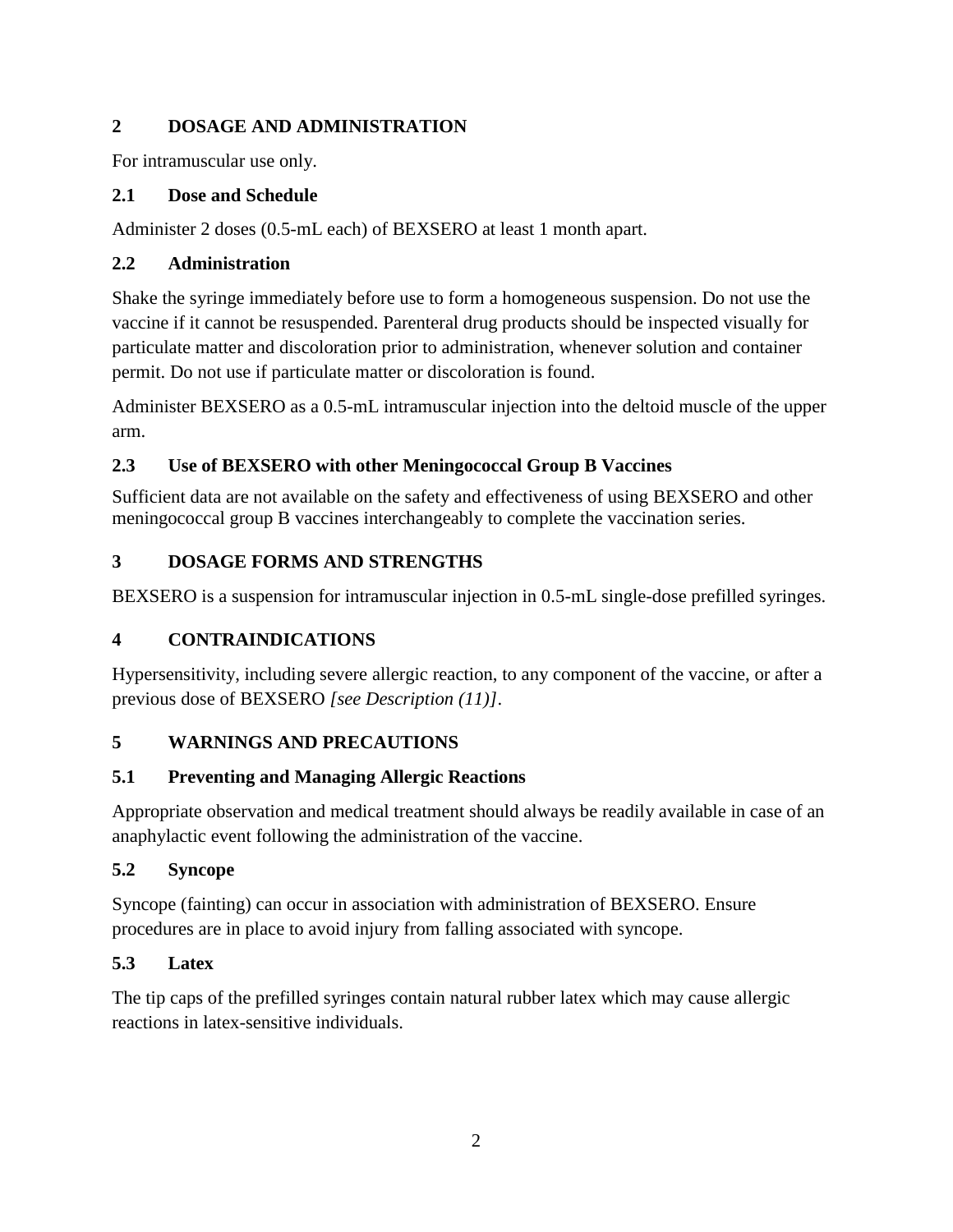## <span id="page-1-0"></span>**2 DOSAGE AND ADMINISTRATION**

For intramuscular use only.

## <span id="page-1-1"></span>**2.1 Dose and Schedule**

Administer 2 doses (0.5-mL each) of BEXSERO at least 1 month apart.

# <span id="page-1-2"></span>**2.2 Administration**

Shake the syringe immediately before use to form a homogeneous suspension. Do not use the vaccine if it cannot be resuspended. Parenteral drug products should be inspected visually for particulate matter and discoloration prior to administration, whenever solution and container permit. Do not use if particulate matter or discoloration is found.

Administer BEXSERO as a 0.5-mL intramuscular injection into the deltoid muscle of the upper arm.

# <span id="page-1-3"></span>**2.3 Use of BEXSERO with other Meningococcal Group B Vaccines**

Sufficient data are not available on the safety and effectiveness of using BEXSERO and other meningococcal group B vaccines interchangeably to complete the vaccination series.

# <span id="page-1-4"></span>**3 DOSAGE FORMS AND STRENGTHS**

<span id="page-1-5"></span>BEXSERO is a suspension for intramuscular injection in 0.5-mL single-dose prefilled syringes.

# **4 CONTRAINDICATIONS**

Hypersensitivity, including severe allergic reaction, to any component of the vaccine, or after a previous dose of BEXSERO *[see Description (11)]*.

# <span id="page-1-6"></span>**5 WARNINGS AND PRECAUTIONS**

# <span id="page-1-7"></span>**5.1 Preventing and Managing Allergic Reactions**

Appropriate observation and medical treatment should always be readily available in case of an anaphylactic event following the administration of the vaccine.

# <span id="page-1-8"></span>**5.2 Syncope**

Syncope (fainting) can occur in association with administration of BEXSERO. Ensure procedures are in place to avoid injury from falling associated with syncope.

# <span id="page-1-9"></span>**5.3 Latex**

The tip caps of the prefilled syringes contain natural rubber latex which may cause allergic reactions in latex-sensitive individuals.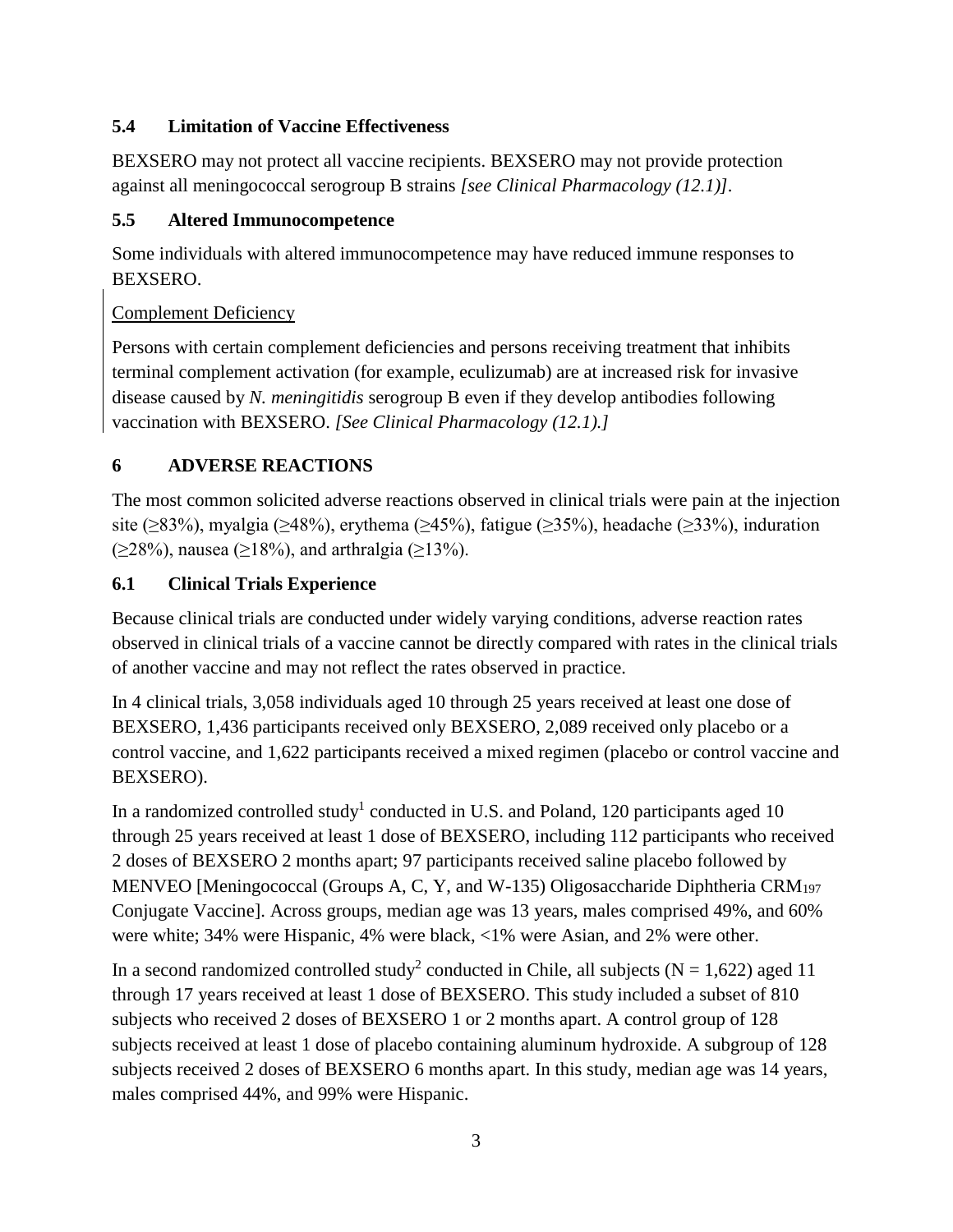## <span id="page-2-0"></span>**5.4 Limitation of Vaccine Effectiveness**

BEXSERO may not protect all vaccine recipients. BEXSERO may not provide protection against all meningococcal serogroup B strains *[see Clinical Pharmacology (12.1)].*

#### <span id="page-2-1"></span>**5.5 Altered Immunocompetence**

Some individuals with altered immunocompetence may have reduced immune responses to BEXSERO.

### Complement Deficiency

Persons with certain complement deficiencies and persons receiving treatment that inhibits terminal complement activation (for example, eculizumab) are at increased risk for invasive disease caused by *N. meningitidis* serogroup B even if they develop antibodies following vaccination with BEXSERO. *[See Clinical Pharmacology (12.1).]*

## <span id="page-2-2"></span>**6 ADVERSE REACTIONS**

The most common solicited adverse reactions observed in clinical trials were pain at the injection site ( $\geq$ 83%), myalgia ( $\geq$ 48%), erythema ( $\geq$ 45%), fatigue ( $\geq$ 35%), headache ( $\geq$ 33%), induration (≥28%), nausea (≥18%), and arthralgia (≥13%).

### <span id="page-2-3"></span>**6.1 Clinical Trials Experience**

Because clinical trials are conducted under widely varying conditions, adverse reaction rates observed in clinical trials of a vaccine cannot be directly compared with rates in the clinical trials of another vaccine and may not reflect the rates observed in practice.

In 4 clinical trials, 3,058 individuals aged 10 through 25 years received at least one dose of BEXSERO, 1,436 participants received only BEXSERO, 2,089 received only placebo or a control vaccine, and 1,622 participants received a mixed regimen (placebo or control vaccine and BEXSERO).

In a randomized controlled study<sup>1</sup> conducted in U.S. and Poland, 120 participants aged 10 through 25 years received at least 1 dose of BEXSERO, including 112 participants who received 2 doses of BEXSERO 2 months apart; 97 participants received saline placebo followed by MENVEO [Meningococcal (Groups A, C, Y, and W-135) Oligosaccharide Diphtheria CRM<sub>197</sub> Conjugate Vaccine]. Across groups, median age was 13 years, males comprised 49%, and 60% were white; 34% were Hispanic, 4% were black, <1% were Asian, and 2% were other.

In a second randomized controlled study<sup>2</sup> conducted in Chile, all subjects ( $N = 1,622$ ) aged 11 through 17 years received at least 1 dose of BEXSERO. This study included a subset of 810 subjects who received 2 doses of BEXSERO 1 or 2 months apart. A control group of 128 subjects received at least 1 dose of placebo containing aluminum hydroxide. A subgroup of 128 subjects received 2 doses of BEXSERO 6 months apart. In this study, median age was 14 years, males comprised 44%, and 99% were Hispanic.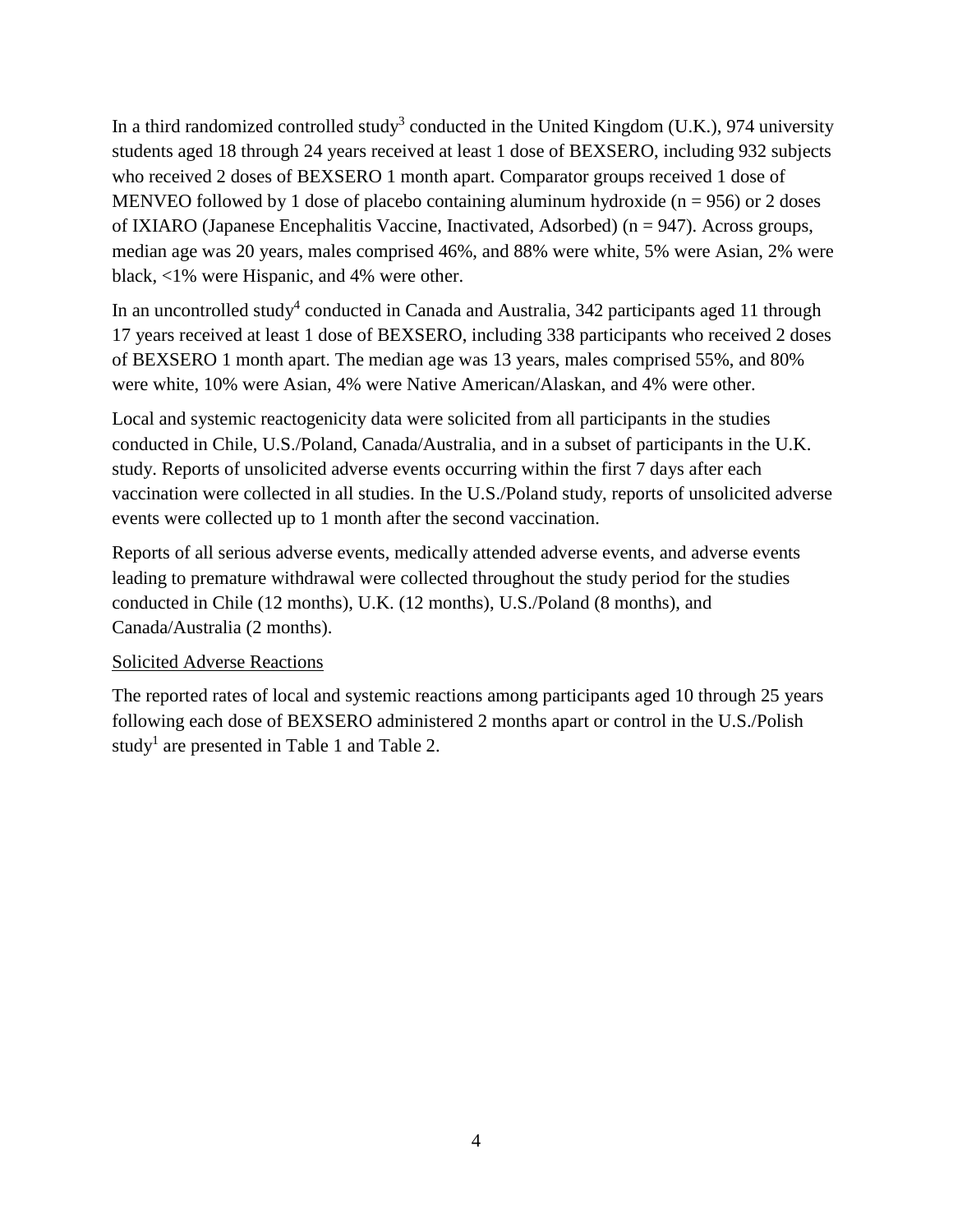In a third randomized controlled study<sup>3</sup> conducted in the United Kingdom (U.K.), 974 university students aged 18 through 24 years received at least 1 dose of BEXSERO, including 932 subjects who received 2 doses of BEXSERO 1 month apart. Comparator groups received 1 dose of MENVEO followed by 1 dose of placebo containing aluminum hydroxide ( $n = 956$ ) or 2 doses of IXIARO (Japanese Encephalitis Vaccine, Inactivated, Adsorbed) (n = 947). Across groups, median age was 20 years, males comprised 46%, and 88% were white, 5% were Asian, 2% were black, <1% were Hispanic, and 4% were other.

In an uncontrolled study<sup>4</sup> conducted in Canada and Australia, 342 participants aged 11 through 17 years received at least 1 dose of BEXSERO, including 338 participants who received 2 doses of BEXSERO 1 month apart. The median age was 13 years, males comprised 55%, and 80% were white, 10% were Asian, 4% were Native American/Alaskan, and 4% were other.

Local and systemic reactogenicity data were solicited from all participants in the studies conducted in Chile, U.S./Poland, Canada/Australia, and in a subset of participants in the U.K. study. Reports of unsolicited adverse events occurring within the first 7 days after each vaccination were collected in all studies. In the U.S./Poland study, reports of unsolicited adverse events were collected up to 1 month after the second vaccination.

Reports of all serious adverse events, medically attended adverse events, and adverse events leading to premature withdrawal were collected throughout the study period for the studies conducted in Chile (12 months), U.K. (12 months), U.S./Poland (8 months), and Canada/Australia (2 months).

#### Solicited Adverse Reactions

The reported rates of local and systemic reactions among participants aged 10 through 25 years following each dose of BEXSERO administered 2 months apart or control in the U.S./Polish study<sup>1</sup> are presented in Table 1 and Table 2.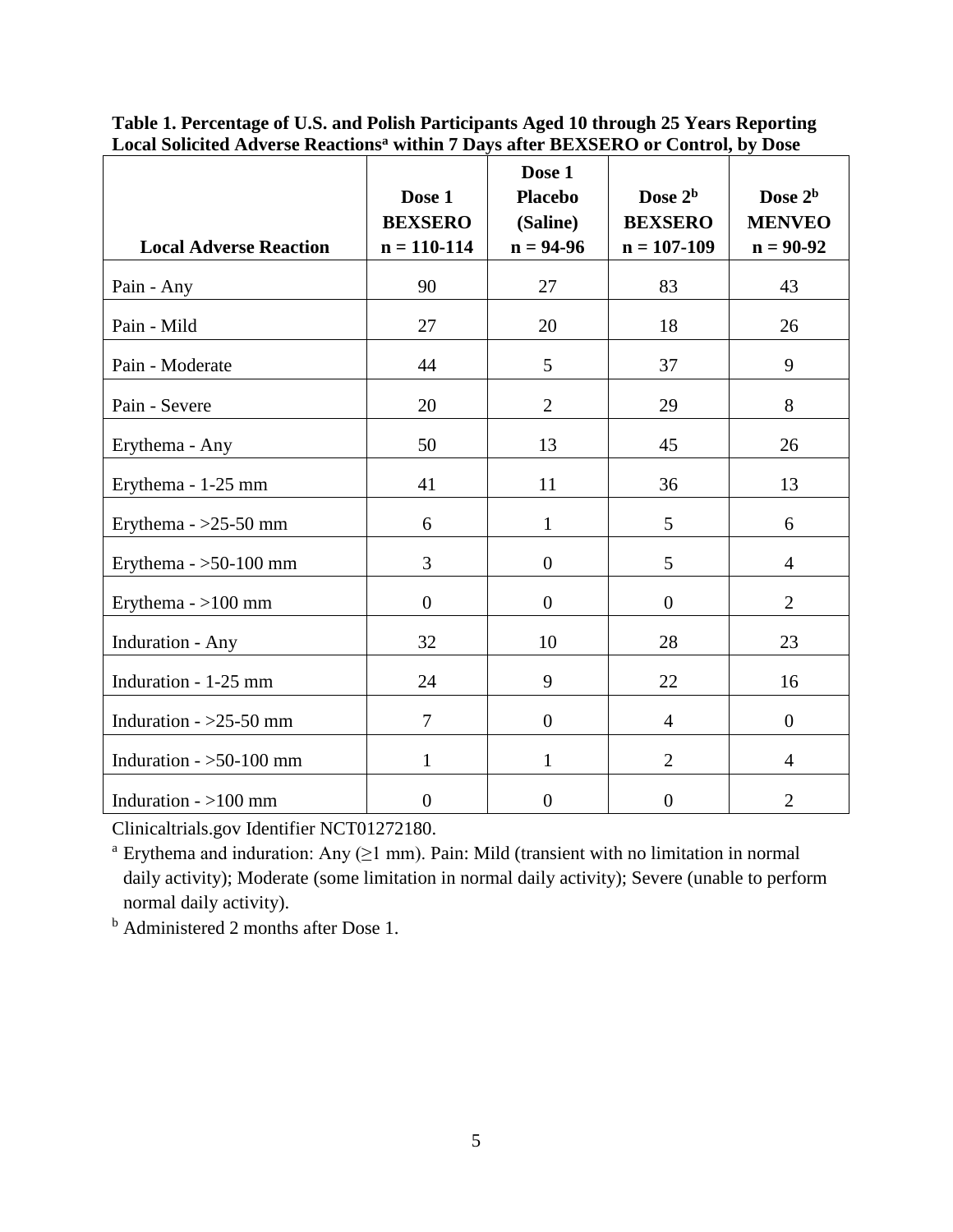| <b>Local Adverse Reaction</b> | Dose 1<br><b>BEXSERO</b><br>$n = 110 - 114$ | Dose 1<br><b>Placebo</b><br>(Saline)<br>$n = 94-96$ | Dose $2b$<br><b>BEXSERO</b><br>$n = 107 - 109$ | Dose $2b$<br><b>MENVEO</b><br>$n = 90-92$ |
|-------------------------------|---------------------------------------------|-----------------------------------------------------|------------------------------------------------|-------------------------------------------|
| Pain - Any                    | 90                                          | 27                                                  | 83                                             | 43                                        |
| Pain - Mild                   | 27                                          | 20                                                  | 18                                             | 26                                        |
| Pain - Moderate               | 44                                          | 5                                                   | 37                                             | 9                                         |
| Pain - Severe                 | 20                                          | $\overline{2}$                                      | 29                                             | 8                                         |
| Erythema - Any                | 50                                          | 13                                                  | 45                                             | 26                                        |
| Erythema - 1-25 mm            | 41                                          | 11                                                  | 36                                             | 13                                        |
| Erythema - $>25-50$ mm        | 6                                           | $\mathbf{1}$                                        | 5                                              | 6                                         |
| Erythema - $>50-100$ mm       | 3                                           | $\overline{0}$                                      | 5                                              | $\overline{4}$                            |
| Erythema $-$ >100 mm          | $\overline{0}$                              | $\overline{0}$                                      | $\overline{0}$                                 | $\overline{2}$                            |
| Induration - Any              | 32                                          | 10                                                  | 28                                             | 23                                        |
| Induration - 1-25 mm          | 24                                          | 9                                                   | 22                                             | 16                                        |
| Induration - $>25-50$ mm      | $\overline{7}$                              | $\overline{0}$                                      | $\overline{4}$                                 | $\overline{0}$                            |
| Induration $-$ >50-100 mm     | $\mathbf{1}$                                | 1                                                   | $\overline{2}$                                 | $\overline{4}$                            |
| Induration $-$ >100 mm        | $\boldsymbol{0}$                            | $\boldsymbol{0}$                                    | $\boldsymbol{0}$                               | $\overline{2}$                            |

**Table 1. Percentage of U.S. and Polish Participants Aged 10 through 25 Years Reporting Local Solicited Adverse Reactions<sup>a</sup> within 7 Days after BEXSERO or Control, by Dose**

Clinicaltrials.gov Identifier NCT01272180.

<sup>a</sup> Erythema and induration: Any  $(≥1$  mm). Pain: Mild (transient with no limitation in normal daily activity); Moderate (some limitation in normal daily activity); Severe (unable to perform normal daily activity).

<sup>b</sup> Administered 2 months after Dose 1.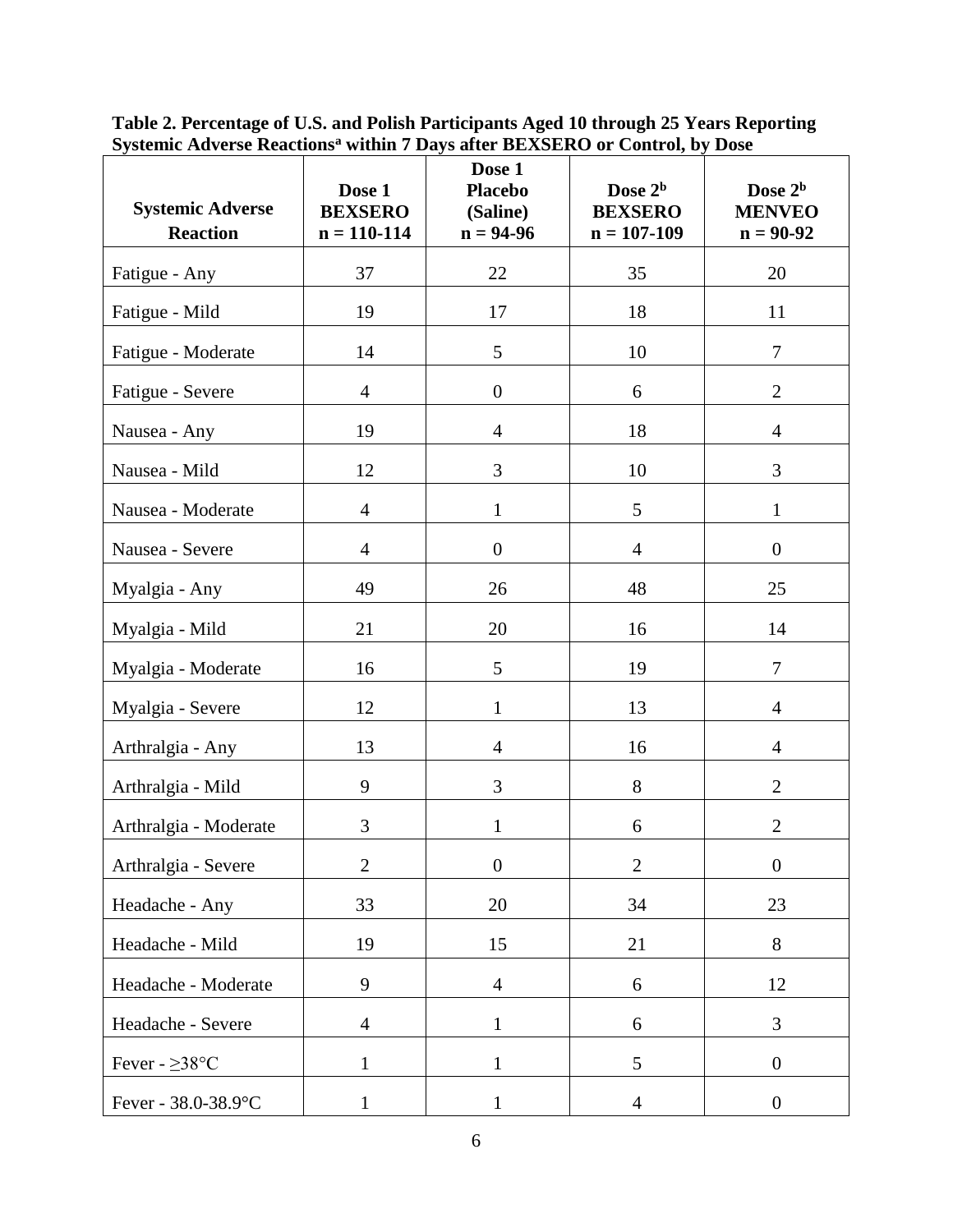| <b>Systemic Adverse</b><br><b>Reaction</b> | Dose 1<br><b>BEXSERO</b><br>$n = 110 - 114$ | Dose 1<br><b>Placebo</b><br>(Saline)<br>$n = 94-96$ | Dose 2 <sup>b</sup><br><b>BEXSERO</b><br>$n = 107 - 109$ | Dose 2 <sup>b</sup><br><b>MENVEO</b><br>$n = 90-92$ |
|--------------------------------------------|---------------------------------------------|-----------------------------------------------------|----------------------------------------------------------|-----------------------------------------------------|
| Fatigue - Any                              | 37                                          | 22                                                  | 35                                                       | 20                                                  |
| Fatigue - Mild                             | 19                                          | 17                                                  | 18                                                       | 11                                                  |
| Fatigue - Moderate                         | 14                                          | 5                                                   | 10                                                       | $\overline{7}$                                      |
| Fatigue - Severe                           | $\overline{4}$                              | $\boldsymbol{0}$                                    | 6                                                        | $\overline{2}$                                      |
| Nausea - Any                               | 19                                          | 4                                                   | 18                                                       | $\overline{4}$                                      |
| Nausea - Mild                              | 12                                          | 3                                                   | 10                                                       | 3                                                   |
| Nausea - Moderate                          | $\overline{4}$                              | $\mathbf{1}$                                        | 5                                                        | $\mathbf{1}$                                        |
| Nausea - Severe                            | $\overline{4}$                              | $\boldsymbol{0}$                                    | $\overline{4}$                                           | $\boldsymbol{0}$                                    |
| Myalgia - Any                              | 49                                          | 26                                                  | 48                                                       | 25                                                  |
| Myalgia - Mild                             | 21                                          | 20                                                  | 16                                                       | 14                                                  |
| Myalgia - Moderate                         | 16                                          | 5                                                   | 19                                                       | $\overline{7}$                                      |
| Myalgia - Severe                           | 12                                          | $\mathbf{1}$                                        | 13                                                       | $\overline{4}$                                      |
| Arthralgia - Any                           | 13                                          | $\overline{4}$                                      | 16                                                       | $\overline{4}$                                      |
| Arthralgia - Mild                          | 9                                           | 3                                                   | 8                                                        | $\overline{2}$                                      |
| Arthralgia - Moderate                      | 3                                           | $\mathbf{1}$                                        | 6                                                        | $\overline{2}$                                      |
| Arthralgia - Severe                        | $\mathbf{2}$                                | $\boldsymbol{0}$                                    | $\overline{2}$                                           | $\boldsymbol{0}$                                    |
| Headache - Any                             | 33                                          | 20                                                  | 34                                                       | 23                                                  |
| Headache - Mild                            | 19                                          | 15                                                  | 21                                                       | 8                                                   |
| Headache - Moderate                        | 9                                           | $\overline{4}$                                      | 6                                                        | 12                                                  |
| Headache - Severe                          | $\overline{4}$                              | $\mathbf{1}$                                        | 6                                                        | 3                                                   |
| Fever - $\geq$ 38°C                        | $\mathbf{1}$                                | $\mathbf{1}$                                        | 5                                                        | $\boldsymbol{0}$                                    |
| Fever - 38.0-38.9°C                        | $\mathbf{1}$                                | $\mathbf{1}$                                        | $\overline{4}$                                           | $\boldsymbol{0}$                                    |

**Table 2. Percentage of U.S. and Polish Participants Aged 10 through 25 Years Reporting Systemic Adverse Reactions<sup>a</sup> within 7 Days after BEXSERO or Control, by Dose**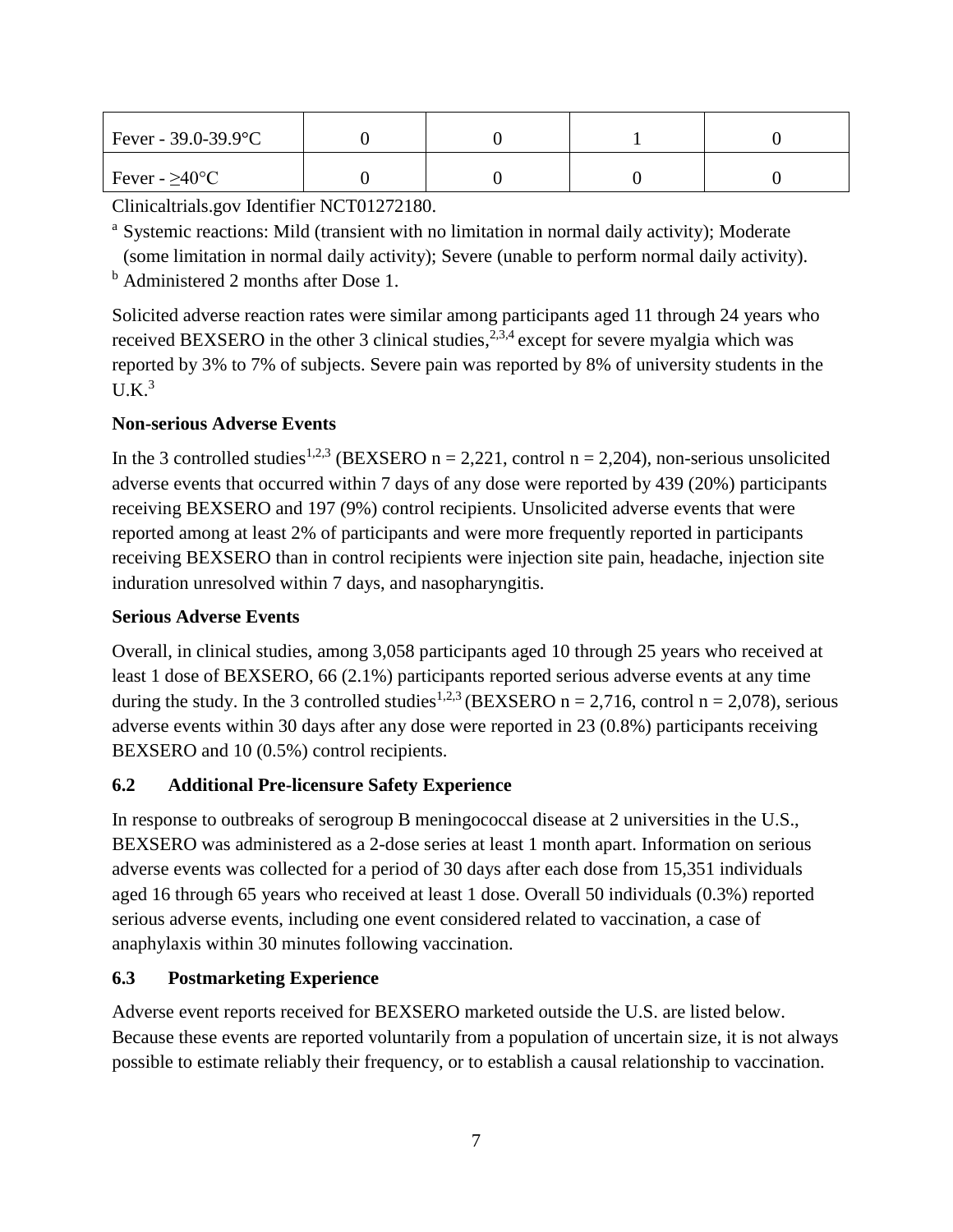| Fever - $39.0 - 39.9$ °C    |  |  |
|-----------------------------|--|--|
| Fever - $\geq 40^{\circ}$ C |  |  |

Clinicaltrials.gov Identifier NCT01272180.

<sup>a</sup> Systemic reactions: Mild (transient with no limitation in normal daily activity); Moderate (some limitation in normal daily activity); Severe (unable to perform normal daily activity).

<sup>b</sup> Administered 2 months after Dose 1.

Solicited adverse reaction rates were similar among participants aged 11 through 24 years who received BEXSERO in the other 3 clinical studies,  $2,3,4$  except for severe myalgia which was reported by 3% to 7% of subjects. Severe pain was reported by 8% of university students in the  $U.K.^3$ 

## **Non-serious Adverse Events**

In the 3 controlled studies<sup>1,2,3</sup> (BEXSERO n = 2,221, control n = 2,204), non-serious unsolicited adverse events that occurred within 7 days of any dose were reported by 439 (20%) participants receiving BEXSERO and 197 (9%) control recipients. Unsolicited adverse events that were reported among at least 2% of participants and were more frequently reported in participants receiving BEXSERO than in control recipients were injection site pain, headache, injection site induration unresolved within 7 days, and nasopharyngitis.

#### **Serious Adverse Events**

Overall, in clinical studies, among 3,058 participants aged 10 through 25 years who received at least 1 dose of BEXSERO, 66 (2.1%) participants reported serious adverse events at any time during the study. In the 3 controlled studies<sup>1,2,3</sup> (BEXSERO n = 2,716, control n = 2,078), serious adverse events within 30 days after any dose were reported in 23 (0.8%) participants receiving BEXSERO and 10 (0.5%) control recipients.

#### <span id="page-6-0"></span>**6.2 Additional Pre-licensure Safety Experience**

In response to outbreaks of serogroup B meningococcal disease at 2 universities in the U.S., BEXSERO was administered as a 2-dose series at least 1 month apart. Information on serious adverse events was collected for a period of 30 days after each dose from 15,351 individuals aged 16 through 65 years who received at least 1 dose. Overall 50 individuals (0.3%) reported serious adverse events, including one event considered related to vaccination, a case of anaphylaxis within 30 minutes following vaccination.

## <span id="page-6-1"></span>**6.3 Postmarketing Experience**

Adverse event reports received for BEXSERO marketed outside the U.S. are listed below. Because these events are reported voluntarily from a population of uncertain size, it is not always possible to estimate reliably their frequency, or to establish a causal relationship to vaccination.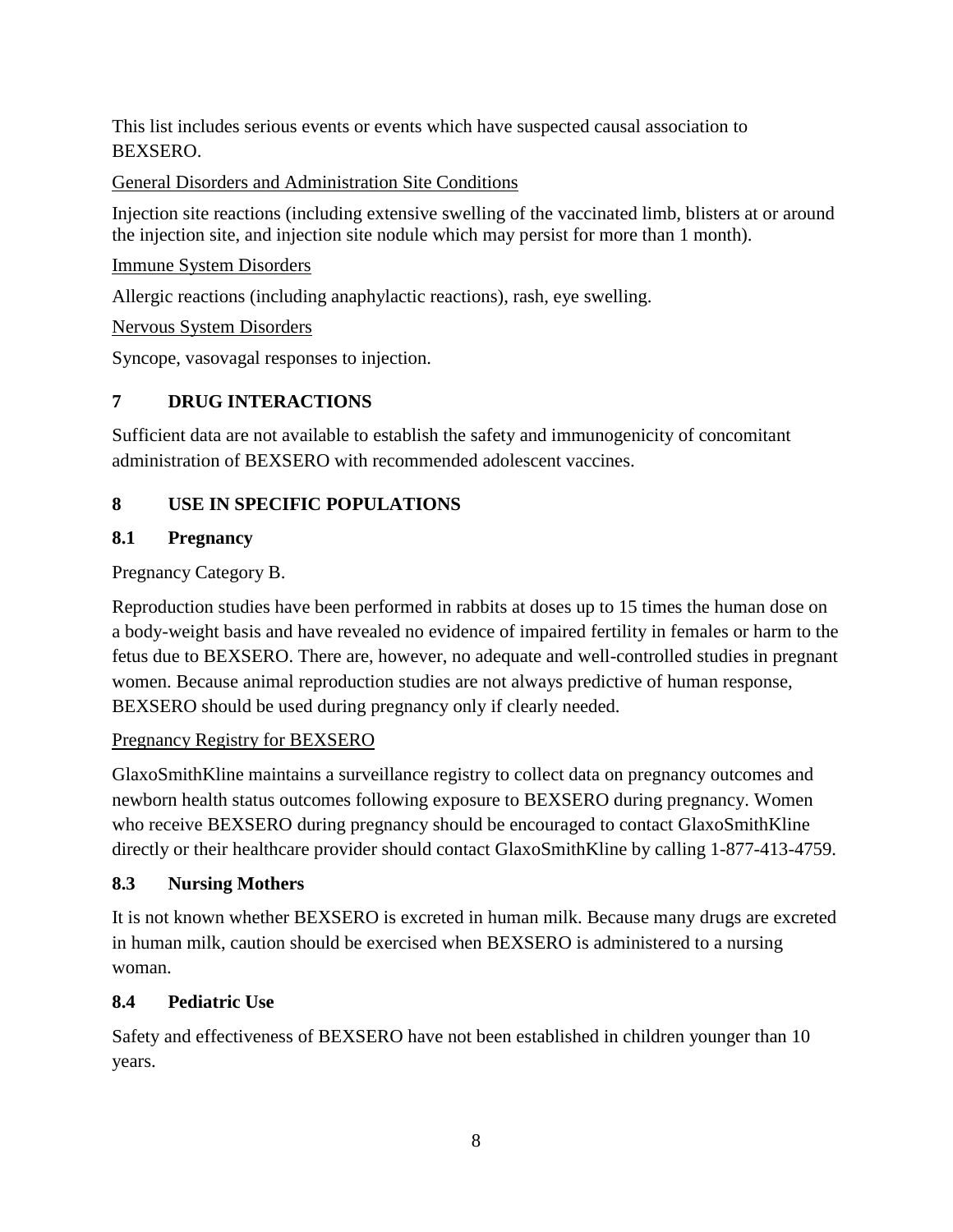This list includes serious events or events which have suspected causal association to BEXSERO.

General Disorders and Administration Site Conditions

Injection site reactions (including extensive swelling of the vaccinated limb, blisters at or around the injection site, and injection site nodule which may persist for more than 1 month).

### Immune System Disorders

Allergic reactions (including anaphylactic reactions), rash, eye swelling.

### Nervous System Disorders

<span id="page-7-0"></span>Syncope, vasovagal responses to injection.

# **7 DRUG INTERACTIONS**

Sufficient data are not available to establish the safety and immunogenicity of concomitant administration of BEXSERO with recommended adolescent vaccines.

# <span id="page-7-1"></span>**8 USE IN SPECIFIC POPULATIONS**

## <span id="page-7-2"></span>**8.1 Pregnancy**

Pregnancy Category B.

Reproduction studies have been performed in rabbits at doses up to 15 times the human dose on a body-weight basis and have revealed no evidence of impaired fertility in females or harm to the fetus due to BEXSERO. There are, however, no adequate and well-controlled studies in pregnant women. Because animal reproduction studies are not always predictive of human response, BEXSERO should be used during pregnancy only if clearly needed.

## Pregnancy Registry for BEXSERO

GlaxoSmithKline maintains a surveillance registry to collect data on pregnancy outcomes and newborn health status outcomes following exposure to BEXSERO during pregnancy. Women who receive BEXSERO during pregnancy should be encouraged to contact GlaxoSmithKline directly or their healthcare provider should contact GlaxoSmithKline by calling 1-877-413-4759.

## <span id="page-7-3"></span>**8.3 Nursing Mothers**

It is not known whether BEXSERO is excreted in human milk. Because many drugs are excreted in human milk, caution should be exercised when BEXSERO is administered to a nursing woman.

## <span id="page-7-4"></span>**8.4 Pediatric Use**

Safety and effectiveness of BEXSERO have not been established in children younger than 10 years.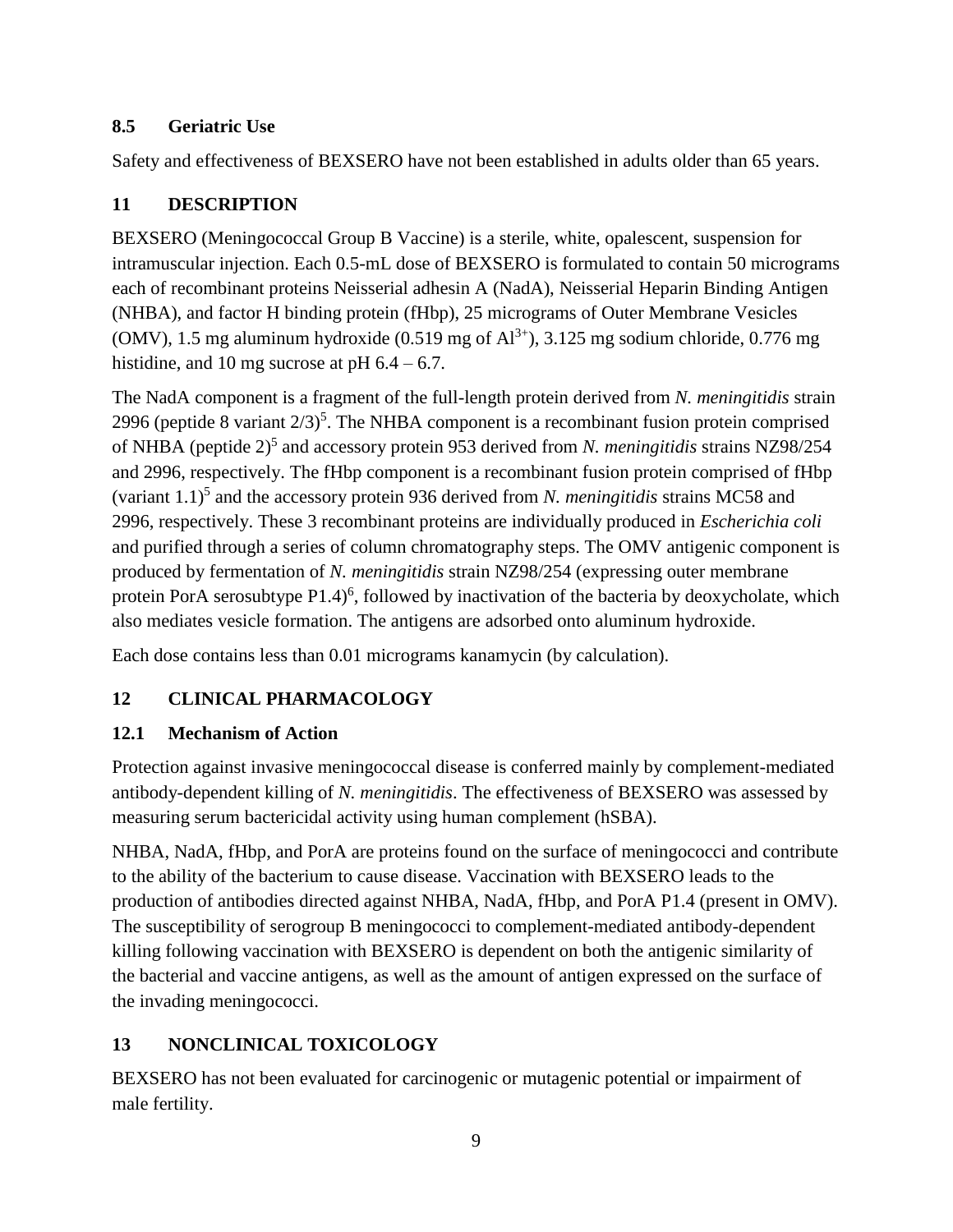### <span id="page-8-0"></span>**8.5 Geriatric Use**

<span id="page-8-1"></span>Safety and effectiveness of BEXSERO have not been established in adults older than 65 years.

# **11 DESCRIPTION**

BEXSERO (Meningococcal Group B Vaccine) is a sterile, white, opalescent, suspension for intramuscular injection. Each 0.5-mL dose of BEXSERO is formulated to contain 50 micrograms each of recombinant proteins Neisserial adhesin A (NadA), Neisserial Heparin Binding Antigen (NHBA), and factor H binding protein (fHbp), 25 micrograms of Outer Membrane Vesicles (OMV), 1.5 mg aluminum hydroxide  $(0.519 \text{ mg of Al}^{3+})$ , 3.125 mg sodium chloride, 0.776 mg histidine, and 10 mg sucrose at pH  $6.4 - 6.7$ .

The NadA component is a fragment of the full-length protein derived from *N. meningitidis* strain 2996 (peptide 8 variant  $2/3$ )<sup>5</sup>. The NHBA component is a recombinant fusion protein comprised of NHBA (peptide 2)<sup>5</sup> and accessory protein 953 derived from *N. meningitidis* strains NZ98/254 and 2996, respectively. The fHbp component is a recombinant fusion protein comprised of fHbp (variant 1.1)<sup>5</sup> and the accessory protein 936 derived from *N. meningitidis* strains MC58 and 2996, respectively. These 3 recombinant proteins are individually produced in *Escherichia coli* and purified through a series of column chromatography steps. The OMV antigenic component is produced by fermentation of *N. meningitidis* strain NZ98/254 (expressing outer membrane protein PorA serosubtype  $P1.4$ <sup>6</sup>, followed by inactivation of the bacteria by deoxycholate, which also mediates vesicle formation. The antigens are adsorbed onto aluminum hydroxide.

<span id="page-8-2"></span>Each dose contains less than 0.01 micrograms kanamycin (by calculation).

# **12 CLINICAL PHARMACOLOGY**

## <span id="page-8-3"></span>**12.1 Mechanism of Action**

Protection against invasive meningococcal disease is conferred mainly by complement-mediated antibody-dependent killing of *N. meningitidis*. The effectiveness of BEXSERO was assessed by measuring serum bactericidal activity using human complement (hSBA).

NHBA, NadA, fHbp, and PorA are proteins found on the surface of meningococci and contribute to the ability of the bacterium to cause disease. Vaccination with BEXSERO leads to the production of antibodies directed against NHBA, NadA, fHbp, and PorA P1.4 (present in OMV). The susceptibility of serogroup B meningococci to complement-mediated antibody-dependent killing following vaccination with BEXSERO is dependent on both the antigenic similarity of the bacterial and vaccine antigens, as well as the amount of antigen expressed on the surface of the invading meningococci.

# <span id="page-8-4"></span>**13 NONCLINICAL TOXICOLOGY**

BEXSERO has not been evaluated for carcinogenic or mutagenic potential or impairment of male fertility.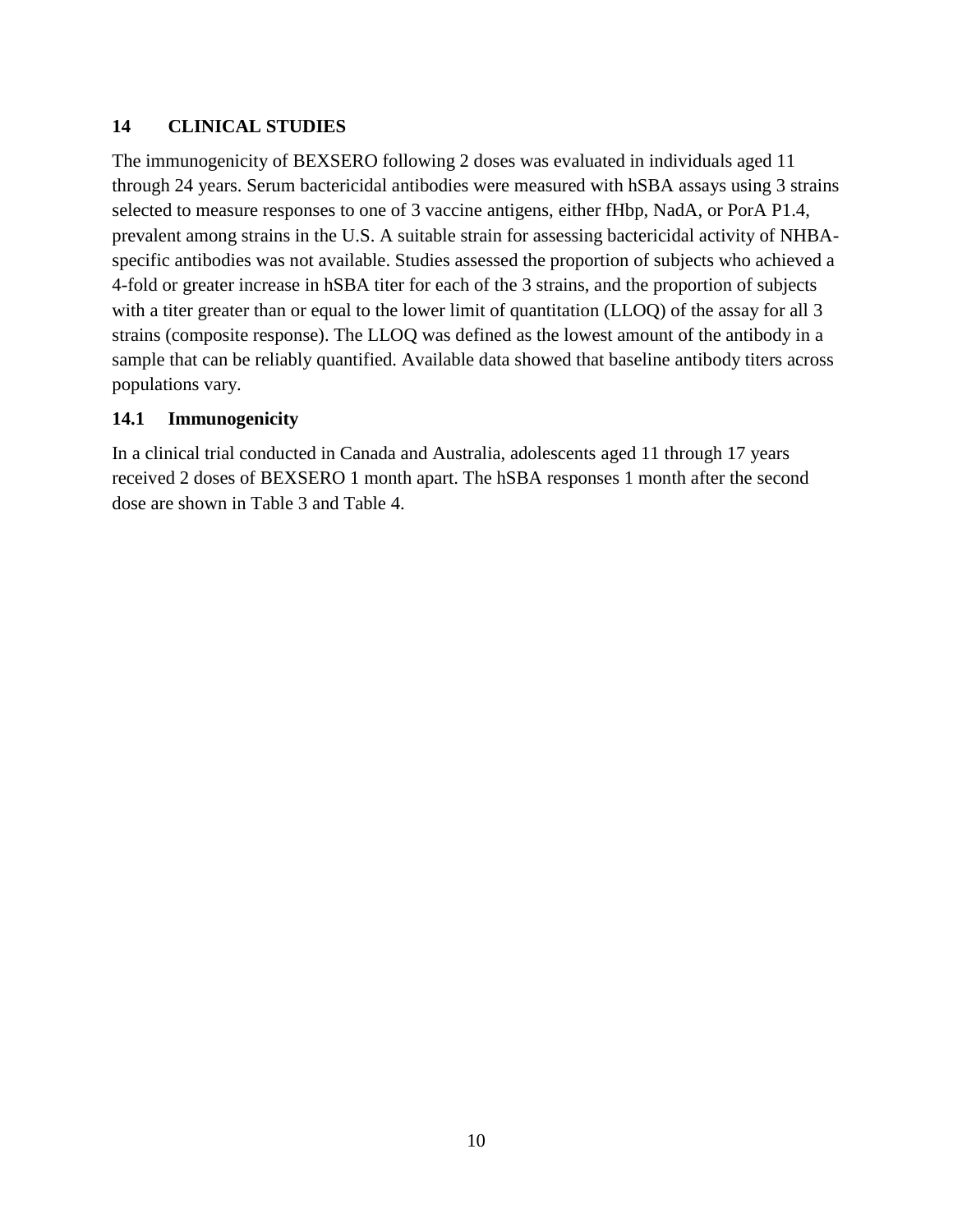#### <span id="page-9-0"></span>**14 CLINICAL STUDIES**

The immunogenicity of BEXSERO following 2 doses was evaluated in individuals aged 11 through 24 years. Serum bactericidal antibodies were measured with hSBA assays using 3 strains selected to measure responses to one of 3 vaccine antigens, either fHbp, NadA, or PorA P1.4, prevalent among strains in the U.S. A suitable strain for assessing bactericidal activity of NHBAspecific antibodies was not available. Studies assessed the proportion of subjects who achieved a 4-fold or greater increase in hSBA titer for each of the 3 strains, and the proportion of subjects with a titer greater than or equal to the lower limit of quantitation (LLOQ) of the assay for all 3 strains (composite response). The LLOQ was defined as the lowest amount of the antibody in a sample that can be reliably quantified. Available data showed that baseline antibody titers across populations vary.

#### <span id="page-9-1"></span>**14.1 Immunogenicity**

In a clinical trial conducted in Canada and Australia, adolescents aged 11 through 17 years received 2 doses of BEXSERO 1 month apart. The hSBA responses 1 month after the second dose are shown in Table 3 and Table 4.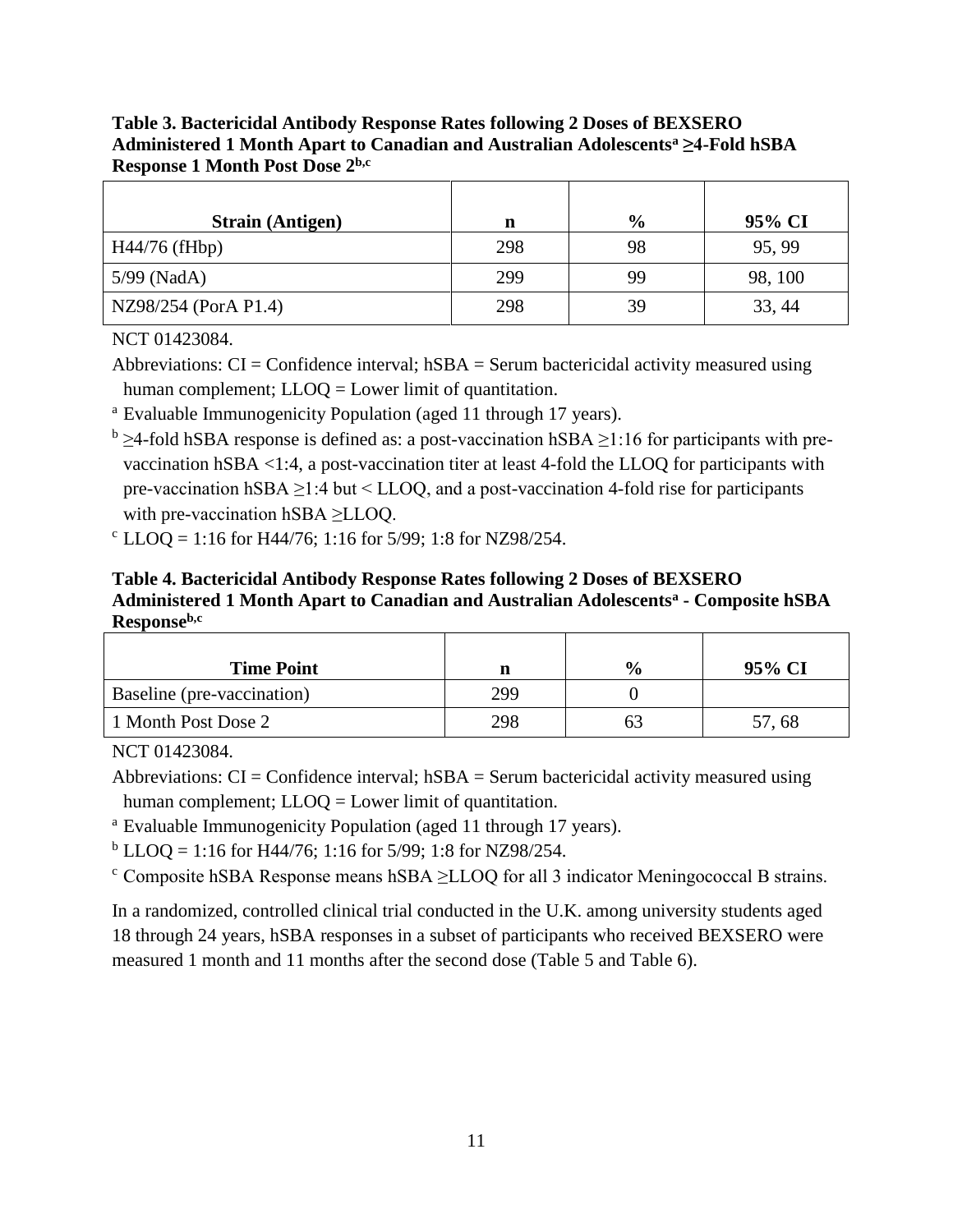**Table 3. Bactericidal Antibody Response Rates following 2 Doses of BEXSERO Administered 1 Month Apart to Canadian and Australian Adolescents<sup>a</sup> ≥4-Fold hSBA Response 1 Month Post Dose 2b,c**

| <b>Strain (Antigen)</b> | n   | $\frac{6}{9}$ | 95% CI  |
|-------------------------|-----|---------------|---------|
| $H44/76$ (fHbp)         | 298 | 98            | 95, 99  |
| 5/99 (NadA)             | 299 | 99            | 98, 100 |
| NZ98/254 (PorA P1.4)    | 298 | 39            | 33, 44  |

NCT 01423084.

Abbreviations:  $CI =$ Confidence interval; hSBA = Serum bactericidal activity measured using human complement; LLOQ = Lower limit of quantitation.

<sup>a</sup> Evaluable Immunogenicity Population (aged 11 through 17 years).

 $b \geq 4$ -fold hSBA response is defined as: a post-vaccination hSBA  $\geq 1:16$  for participants with prevaccination hSBA <1:4, a post-vaccination titer at least 4-fold the LLOQ for participants with pre-vaccination hSBA ≥1:4 but < LLOQ, and a post-vaccination 4-fold rise for participants with pre-vaccination hSBA ≥LLOQ.

 $c$  LLOQ = 1:16 for H44/76; 1:16 for 5/99; 1:8 for NZ98/254.

**Table 4. Bactericidal Antibody Response Rates following 2 Doses of BEXSERO Administered 1 Month Apart to Canadian and Australian Adolescents<sup>a</sup> - Composite hSBA Responseb,c**

| <b>Time Point</b>          | n   | $\frac{6}{6}$ | 95% CI |
|----------------------------|-----|---------------|--------|
| Baseline (pre-vaccination) | 299 |               |        |
| 1 Month Post Dose 2        | 298 |               | 57,68  |

NCT 01423084.

Abbreviations:  $CI =$ Confidence interval;  $hSBA =$ Serum bactericidal activity measured using human complement; LLOQ = Lower limit of quantitation.

<sup>a</sup> Evaluable Immunogenicity Population (aged 11 through 17 years).

 $b$  LLOQ = 1:16 for H44/76; 1:16 for 5/99; 1:8 for NZ98/254.

 $\textdegree$  Composite hSBA Response means hSBA  $\geq$ LLOQ for all 3 indicator Meningococcal B strains.

In a randomized, controlled clinical trial conducted in the U.K. among university students aged 18 through 24 years, hSBA responses in a subset of participants who received BEXSERO were measured 1 month and 11 months after the second dose (Table 5 and Table 6).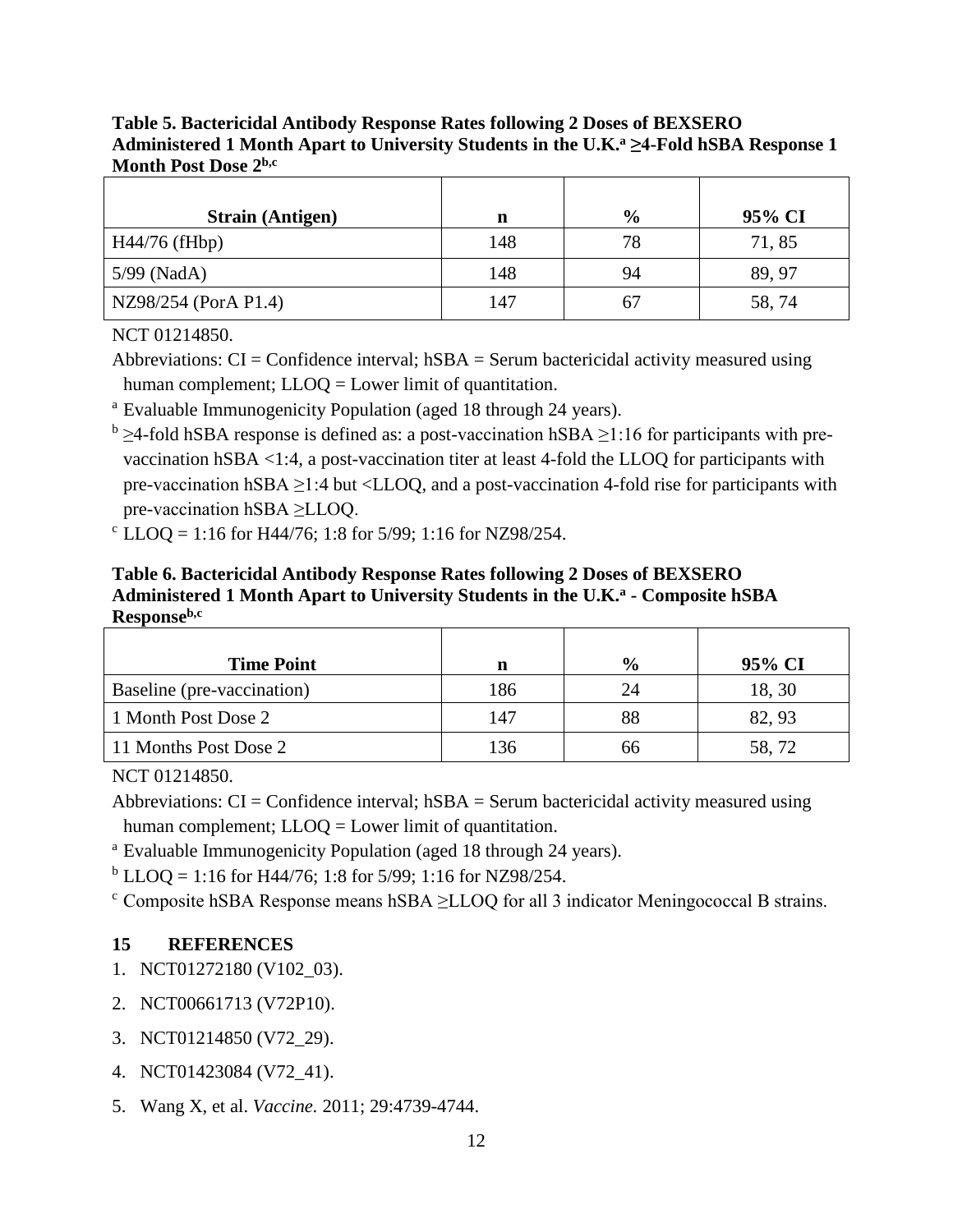**Table 5. Bactericidal Antibody Response Rates following 2 Doses of BEXSERO Administered 1 Month Apart to University Students in the U.K. <sup>a</sup> ≥4-Fold hSBA Response 1 Month Post Dose 2b,c**

| <b>Strain (Antigen)</b> | n   | $\frac{6}{9}$ | 95% CI |
|-------------------------|-----|---------------|--------|
| $H44/76$ (fHbp)         | 148 | 78            | 71,85  |
| 5/99 (NadA)             | 148 | 94            | 89, 97 |
| NZ98/254 (PorA P1.4)    | 147 | 67            | 58, 74 |

NCT 01214850.

Abbreviations:  $CI =$ Confidence interval;  $hSBA =$ Serum bactericidal activity measured using human complement; LLOQ = Lower limit of quantitation.

<sup>a</sup> Evaluable Immunogenicity Population (aged 18 through 24 years).

 $b \geq 4$ -fold hSBA response is defined as: a post-vaccination hSBA  $\geq 1:16$  for participants with prevaccination hSBA <1:4, a post-vaccination titer at least 4-fold the LLOQ for participants with pre-vaccination hSBA ≥1:4 but <LLOQ, and a post-vaccination 4-fold rise for participants with pre-vaccination hSBA ≥LLOQ.

 $c$  LLOQ = 1:16 for H44/76; 1:8 for 5/99; 1:16 for NZ98/254.

**Table 6. Bactericidal Antibody Response Rates following 2 Doses of BEXSERO Administered 1 Month Apart to University Students in the U.K.<sup>a</sup> - Composite hSBA Responseb,c**

| <b>Time Point</b>          |     | $\frac{6}{9}$ | 95% CI |
|----------------------------|-----|---------------|--------|
|                            | n   |               |        |
| Baseline (pre-vaccination) | 186 | 24            | 18, 30 |
| 1 Month Post Dose 2        | 147 | 88            | 82, 93 |
| 11 Months Post Dose 2      | 136 | 66            | 58,72  |

NCT 01214850.

Abbreviations:  $CI =$ Confidence interval;  $hSBA =$ Serum bactericidal activity measured using human complement; LLOQ = Lower limit of quantitation.

<sup>a</sup> Evaluable Immunogenicity Population (aged 18 through 24 years).

 $b$  LLOQ = 1:16 for H44/76; 1:8 for 5/99; 1:16 for NZ98/254.

 $\text{c}$  Composite hSBA Response means hSBA  $\geq$ LLOQ for all 3 indicator Meningococcal B strains.

#### <span id="page-11-0"></span>**15 REFERENCES**

- 1. NCT01272180 (V102\_03).
- 2. NCT00661713 (V72P10).
- 3. NCT01214850 (V72\_29).
- 4. NCT01423084 (V72\_41).
- 5. Wang X, et al. *Vaccine.* 2011; 29:4739-4744.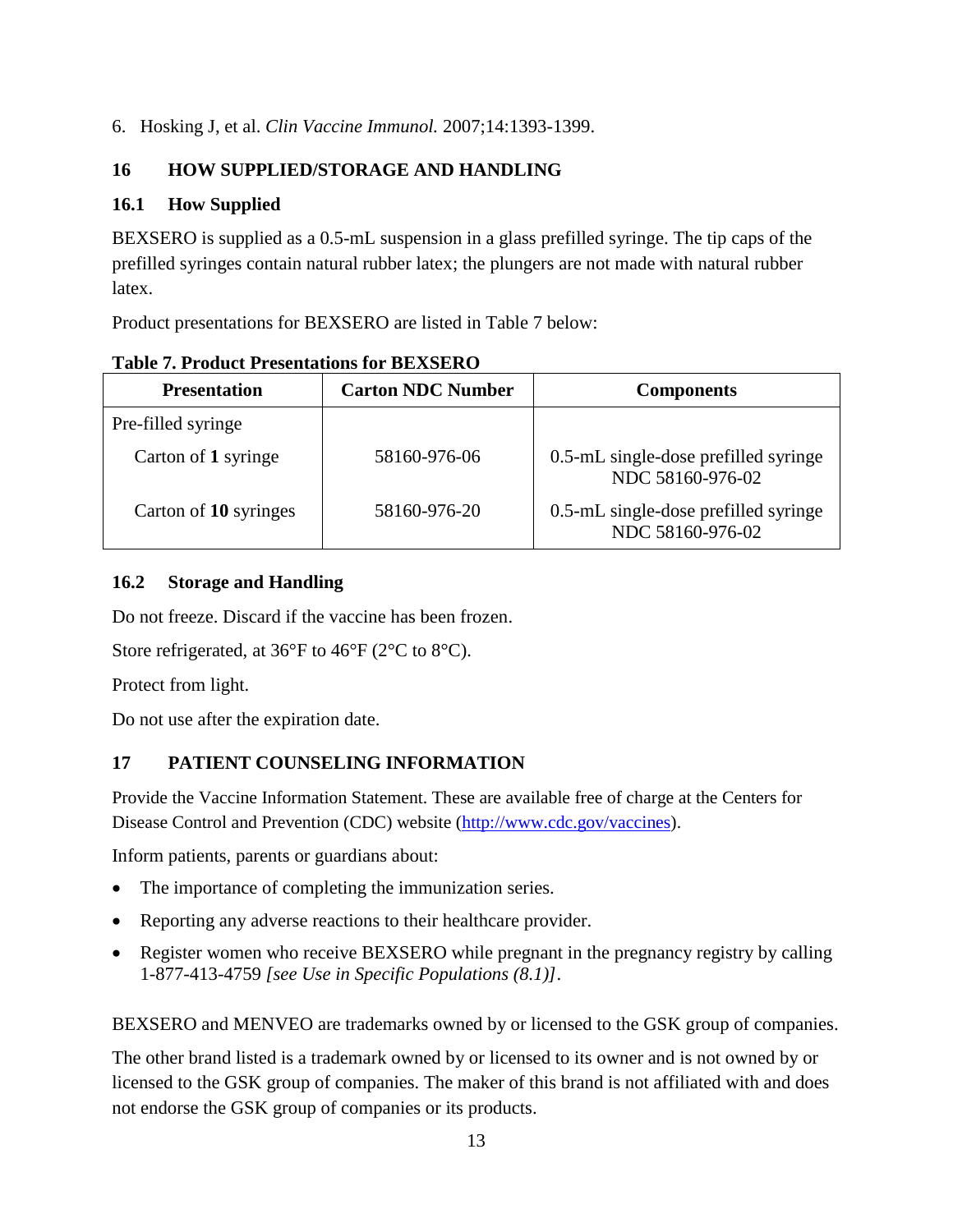6. Hosking J, et al. *Clin Vaccine Immunol.* 2007;14:1393-1399.

# <span id="page-12-0"></span>**16 HOW SUPPLIED/STORAGE AND HANDLING**

## <span id="page-12-1"></span>**16.1 How Supplied**

BEXSERO is supplied as a 0.5-mL suspension in a glass prefilled syringe. The tip caps of the prefilled syringes contain natural rubber latex; the plungers are not made with natural rubber latex.

Product presentations for BEXSERO are listed in Table 7 below:

| <b>Presentation</b>   | <b>Carton NDC Number</b> | <b>Components</b>                                        |  |
|-----------------------|--------------------------|----------------------------------------------------------|--|
| Pre-filled syringe    |                          |                                                          |  |
| Carton of 1 syringe   | 58160-976-06             | 0.5-mL single-dose prefilled syringe<br>NDC 58160-976-02 |  |
| Carton of 10 syringes | 58160-976-20             | 0.5-mL single-dose prefilled syringe<br>NDC 58160-976-02 |  |

### **Table 7. Product Presentations for BEXSERO**

## <span id="page-12-2"></span>**16.2 Storage and Handling**

Do not freeze. Discard if the vaccine has been frozen.

Store refrigerated, at 36°F to 46°F (2°C to 8°C).

Protect from light.

<span id="page-12-3"></span>Do not use after the expiration date.

# **17 PATIENT COUNSELING INFORMATION**

Provide the Vaccine Information Statement. These are available free of charge at the Centers for Disease Control and Prevention (CDC) website [\(http://www.cdc.gov/vaccines\)](https://www.cdc.gov/vaccines/index.html).

Inform patients, parents or guardians about:

- The importance of completing the immunization series.
- Reporting any adverse reactions to their healthcare provider.
- Register women who receive BEXSERO while pregnant in the pregnancy registry by calling 1-877-413-4759 *[see Use in Specific Populations (8.1)]*.

BEXSERO and MENVEO are trademarks owned by or licensed to the GSK group of companies.

The other brand listed is a trademark owned by or licensed to its owner and is not owned by or licensed to the GSK group of companies. The maker of this brand is not affiliated with and does not endorse the GSK group of companies or its products.